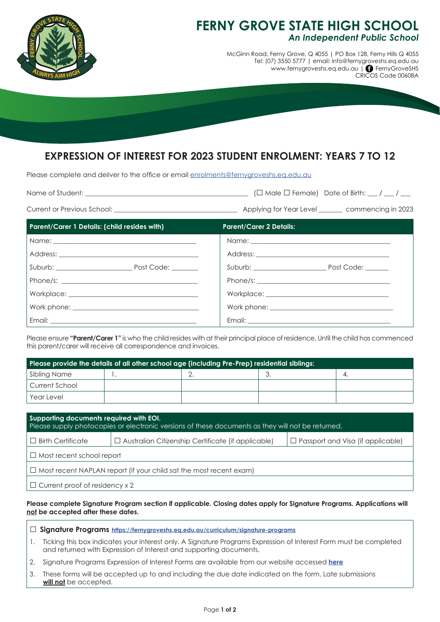

## **FERNY GROVE STATE HIGH SCHOOL** *An Independent Public School*

McGinn Road, Ferny Grove, Q 4055 | PO Box 128, Ferny Hills Q 4055 Tel: (07) 3550 5777 | email: info@fernygroveshs.eq.edu.au www.fernygroveshs.eq.edu.au | **•** FernyGroveSHS CRICOS Code 00608A

# **EXPRESSION OF INTEREST FOR 2023 STUDENT ENROLMENT: YEARS 7 TO 12**

Please complete and deliver to the office or email enrolments@fernygroveshs.eq.edu.au

| Name of Student: |  | $(\Box$ Male $\Box$ Female) Date of Birth: $\Box / \Box / \Box$ |
|------------------|--|-----------------------------------------------------------------|
|------------------|--|-----------------------------------------------------------------|

Current or Previous School: \_\_\_\_\_\_\_\_\_\_\_\_\_\_\_\_\_\_\_\_\_\_\_\_\_\_\_\_\_\_\_\_\_\_\_\_\_ Applying for Year Level \_\_\_\_\_\_\_ commencing in 2023

| <b>Parent/Carer 1 Details: (child resides with)</b> | <b>Parent/Carer 2 Details:</b> |
|-----------------------------------------------------|--------------------------------|
|                                                     |                                |
|                                                     |                                |
|                                                     | Suburb: Post Code: Code:       |
|                                                     | Phone/s: $\sqrt{2\pi r}$       |
|                                                     |                                |
|                                                     |                                |
|                                                     |                                |

Please ensure **"Parent/Carer 1"** is who the child resides with at their principal place of residence. Until the child has commenced this parent/carer will receive all correspondence and invoices.

| Please provide the details of all other school age (including Pre-Prep) residential siblings: |  |  |     |  |
|-----------------------------------------------------------------------------------------------|--|--|-----|--|
| Sibling Name                                                                                  |  |  | ، ب |  |
| Current School                                                                                |  |  |     |  |
| l Year Level                                                                                  |  |  |     |  |

| Supporting documents required with EOI.<br>Please supply photocopies or electronic versions of these documents as they will not be returned. |                                                           |                                          |  |  |
|----------------------------------------------------------------------------------------------------------------------------------------------|-----------------------------------------------------------|------------------------------------------|--|--|
| $\Box$ Birth Certificate                                                                                                                     | $\Box$ Australian Citizenship Certificate (if applicable) | $\Box$ Passport and Visa (if applicable) |  |  |
| $\Box$ Most recent school report                                                                                                             |                                                           |                                          |  |  |
| $\Box$ Most recent NAPLAN report (if your child sat the most recent exam)                                                                    |                                                           |                                          |  |  |
| $\Box$ Current proof of residency x 2                                                                                                        |                                                           |                                          |  |  |

### **Please complete Signature Program section if applicable. Closing dates apply for Signature Programs. Applications will not be accepted after these dates.**

- 1. Ticking this box indicates your interest only. A Signature Programs Expression of Interest Form must be completed and returned with Expression of Interest and supporting documents.
- 2. Signature Programs Expression of Interest Forms are available from our website accessed **here**
- 3. These forms will be accepted up to and including the due date indicated on the form. Late submissions **will not** be accepted.